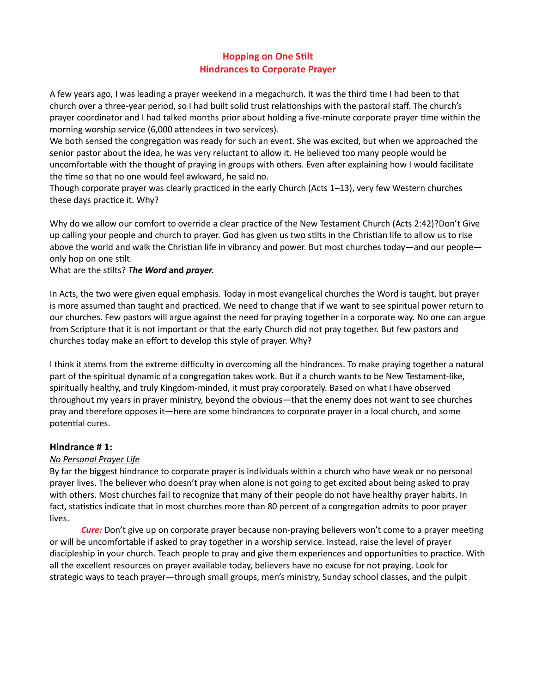# **Hopping on One Stilt** Hindrances to Corporate Prayer

A few years ago, I was leading a prayer weekend in a megachurch. It was the third time I had been to that church over a three-year period, so I had built solid trust relationships with the pastoral staff. The church's prayer coordinator and I had talked months prior about holding a five-minute corporate prayer time within the morning worship service (6,000 attendees in two services).

We both sensed the congregation was ready for such an event. She was excited, but when we approached the senior pastor about the idea, he was very reluctant to allow it. He believed too many people would be uncomfortable with the thought of praying in groups with others. Even after explaining how I would facilitate the time so that no one would feel awkward, he said no.

Though corporate prayer was clearly practiced in the early Church (Acts 1–13), very few Western churches these days practice it. Why?

Why do we allow our comfort to override a clear practice of the New Testament Church (Acts 2:42)?Don't Give up calling your people and church to prayer. God has given us two stilts in the Christian life to allow us to rise above the world and walk the Christian life in vibrancy and power. But most churches today—and our people only hop on one stilt.

What are the stilts? The Word and prayer.

In Acts, the two were given equal emphasis. Today in most evangelical churches the Word is taught, but prayer is more assumed than taught and practiced. We need to change that if we want to see spiritual power return to our churches. Few pastors will argue against the need for praying together in a corporate way. No one can argue from Scripture that it is not important or that the early Church did not pray together. But few pastors and churches today make an effort to develop this style of prayer. Why?

I think it stems from the extreme difficulty in overcoming all the hindrances. To make praying together a natural part of the spiritual dynamic of a congregation takes work. But if a church wants to be New Testament-like, spiritually healthy, and truly Kingdom-minded, it must pray corporately. Based on what I have observed throughout my years in prayer ministry, beyond the obvious—that the enemy does not want to see churches pray and therefore opposes it—here are some hindrances to corporate prayer in a local church, and some potential cures.

## Hindrance # 1:

#### No Personal Prayer Life

By far the biggest hindrance to corporate prayer is individuals within a church who have weak or no personal prayer lives. The believer who doesn't pray when alone is not going to get excited about being asked to pray with others. Most churches fail to recognize that many of their people do not have healthy prayer habits. In fact, statistics indicate that in most churches more than 80 percent of a congregation admits to poor prayer lives.

**Cure:** Don't give up on corporate prayer because non-praying believers won't come to a prayer meeting or will be uncomfortable if asked to pray together in a worship service. Instead, raise the level of prayer discipleship in your church. Teach people to pray and give them experiences and opportunities to practice. With all the excellent resources on prayer available today, believers have no excuse for not praying. Look for strategic ways to teach prayer—through small groups, men's ministry, Sunday school classes, and the pulpit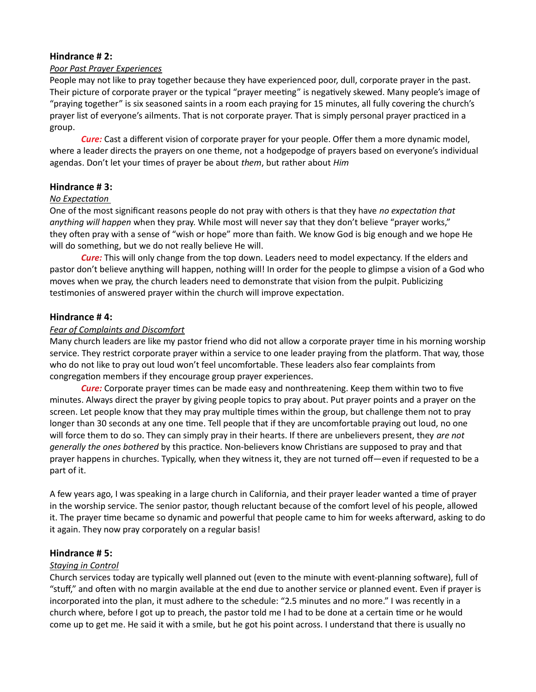## Hindrance # 2:

#### Poor Past Prayer Experiences

People may not like to pray together because they have experienced poor, dull, corporate prayer in the past. Their picture of corporate prayer or the typical "prayer meeting" is negatively skewed. Many people's image of "praying together" is six seasoned saints in a room each praying for 15 minutes, all fully covering the church's prayer list of everyone's ailments. That is not corporate prayer. That is simply personal prayer practiced in a group.

**Cure:** Cast a different vision of corporate prayer for your people. Offer them a more dynamic model, where a leader directs the prayers on one theme, not a hodgepodge of prayers based on everyone's individual agendas. Don't let your times of prayer be about them, but rather about Him

## Hindrance # 3:

## No Expectation

One of the most significant reasons people do not pray with others is that they have no expectation that anything will happen when they pray. While most will never say that they don't believe "prayer works," they often pray with a sense of "wish or hope" more than faith. We know God is big enough and we hope He will do something, but we do not really believe He will.

**Cure:** This will only change from the top down. Leaders need to model expectancy. If the elders and pastor don't believe anything will happen, nothing will! In order for the people to glimpse a vision of a God who moves when we pray, the church leaders need to demonstrate that vision from the pulpit. Publicizing testimonies of answered prayer within the church will improve expectation.

## Hindrance # 4:

## Fear of Complaints and Discomfort

Many church leaders are like my pastor friend who did not allow a corporate prayer time in his morning worship service. They restrict corporate prayer within a service to one leader praying from the platform. That way, those who do not like to pray out loud won't feel uncomfortable. These leaders also fear complaints from congregation members if they encourage group prayer experiences.

**Cure:** Corporate prayer times can be made easy and nonthreatening. Keep them within two to five minutes. Always direct the prayer by giving people topics to pray about. Put prayer points and a prayer on the screen. Let people know that they may pray multiple times within the group, but challenge them not to pray longer than 30 seconds at any one time. Tell people that if they are uncomfortable praying out loud, no one will force them to do so. They can simply pray in their hearts. If there are unbelievers present, they are not generally the ones bothered by this practice. Non-believers know Christians are supposed to pray and that prayer happens in churches. Typically, when they witness it, they are not turned off—even if requested to be a part of it.

A few years ago, I was speaking in a large church in California, and their prayer leader wanted a time of prayer in the worship service. The senior pastor, though reluctant because of the comfort level of his people, allowed it. The prayer time became so dynamic and powerful that people came to him for weeks afterward, asking to do it again. They now pray corporately on a regular basis!

## Hindrance # 5:

## Staying in Control

Church services today are typically well planned out (even to the minute with event-planning software), full of "stuff," and often with no margin available at the end due to another service or planned event. Even if prayer is incorporated into the plan, it must adhere to the schedule: "2.5 minutes and no more." I was recently in a church where, before I got up to preach, the pastor told me I had to be done at a certain time or he would come up to get me. He said it with a smile, but he got his point across. I understand that there is usually no